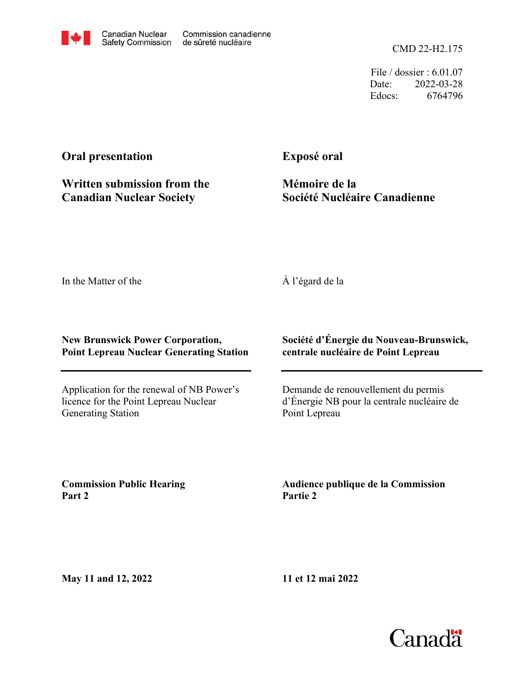CMD 22-H2.175

File / dossier : 6.01.07 Date: 2022-03-28 Edocs: 6764796

# **Oral presentation**

**Written submission from the Canadian Nuclear Society**

**Exposé oral**

**Mémoire de la Société Nucléaire Canadienne**

In the Matter of the

## À l'égard de la

### **New Brunswick Power Corporation, Point Lepreau Nuclear Generating Station**

Application for the renewal of NB Power's licence for the Point Lepreau Nuclear Generating Station

### **Société d'Énergie du Nouveau-Brunswick, centrale nucléaire de Point Lepreau**

Demande de renouvellement du permis d'Énergie NB pour la centrale nucléaire de Point Lepreau

**Commission Public Hearing Part 2**

**Audience publique de la Commission Partie 2**

**May 11 and 12, 2022**

**11 et 12 mai 2022**

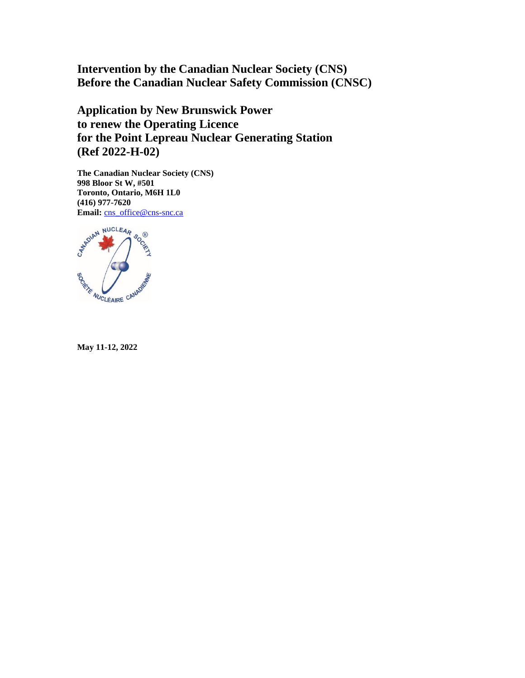**Intervention by the Canadian Nuclear Society (CNS) Before the Canadian Nuclear Safety Commission (CNSC)**

**Application by New Brunswick Power to renew the Operating Licence for the Point Lepreau Nuclear Generating Station (Ref 2022-H-02)**

**The Canadian Nuclear Society (CNS) 998 Bloor St W, #501 Toronto, Ontario, M6H 1L0 (416) 977-7620** Email: [cns\\_office@cns-snc.ca](mailto:cns_office@cns-snc.ca)



**May 11-12, 2022**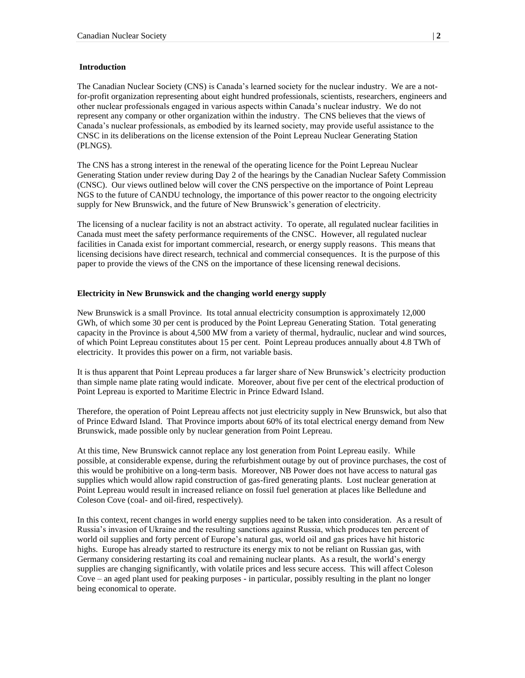#### **Introduction**

The Canadian Nuclear Society (CNS) is Canada's learned society for the nuclear industry. We are a notfor-profit organization representing about eight hundred professionals, scientists, researchers, engineers and other nuclear professionals engaged in various aspects within Canada's nuclear industry. We do not represent any company or other organization within the industry. The CNS believes that the views of Canada's nuclear professionals, as embodied by its learned society, may provide useful assistance to the CNSC in its deliberations on the license extension of the Point Lepreau Nuclear Generating Station (PLNGS).

The CNS has a strong interest in the renewal of the operating licence for the Point Lepreau Nuclear Generating Station under review during Day 2 of the hearings by the Canadian Nuclear Safety Commission (CNSC). Our views outlined below will cover the CNS perspective on the importance of Point Lepreau NGS to the future of CANDU technology, the importance of this power reactor to the ongoing electricity supply for New Brunswick, and the future of New Brunswick's generation of electricity.

The licensing of a nuclear facility is not an abstract activity. To operate, all regulated nuclear facilities in Canada must meet the safety performance requirements of the CNSC. However, all regulated nuclear facilities in Canada exist for important commercial, research, or energy supply reasons. This means that licensing decisions have direct research, technical and commercial consequences. It is the purpose of this paper to provide the views of the CNS on the importance of these licensing renewal decisions.

#### **Electricity in New Brunswick and the changing world energy supply**

New Brunswick is a small Province. Its total annual electricity consumption is approximately 12,000 GWh, of which some 30 per cent is produced by the Point Lepreau Generating Station. Total generating capacity in the Province is about 4,500 MW from a variety of thermal, hydraulic, nuclear and wind sources, of which Point Lepreau constitutes about 15 per cent. Point Lepreau produces annually about 4.8 TWh of electricity. It provides this power on a firm, not variable basis.

It is thus apparent that Point Lepreau produces a far larger share of New Brunswick's electricity production than simple name plate rating would indicate. Moreover, about five per cent of the electrical production of Point Lepreau is exported to Maritime Electric in Prince Edward Island.

Therefore, the operation of Point Lepreau affects not just electricity supply in New Brunswick, but also that of Prince Edward Island. That Province imports about 60% of its total electrical energy demand from New Brunswick, made possible only by nuclear generation from Point Lepreau.

At this time, New Brunswick cannot replace any lost generation from Point Lepreau easily. While possible, at considerable expense, during the refurbishment outage by out of province purchases, the cost of this would be prohibitive on a long-term basis. Moreover, NB Power does not have access to natural gas supplies which would allow rapid construction of gas-fired generating plants. Lost nuclear generation at Point Lepreau would result in increased reliance on fossil fuel generation at places like Belledune and Coleson Cove (coal- and oil-fired, respectively).

In this context, recent changes in world energy supplies need to be taken into consideration. As a result of Russia's invasion of Ukraine and the resulting sanctions against Russia, which produces ten percent of world oil supplies and forty percent of Europe's natural gas, world oil and gas prices have hit historic highs. Europe has already started to restructure its energy mix to not be reliant on Russian gas, with Germany considering restarting its coal and remaining nuclear plants. As a result, the world's energy supplies are changing significantly, with volatile prices and less secure access. This will affect Coleson Cove – an aged plant used for peaking purposes - in particular, possibly resulting in the plant no longer being economical to operate.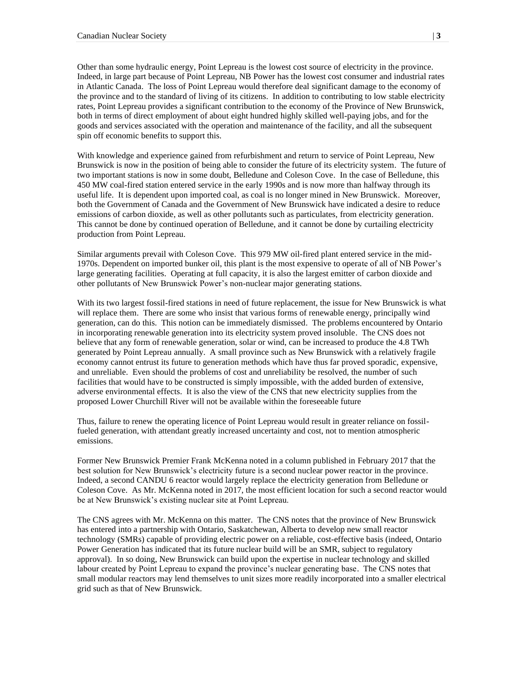Other than some hydraulic energy, Point Lepreau is the lowest cost source of electricity in the province. Indeed, in large part because of Point Lepreau, NB Power has the lowest cost consumer and industrial rates in Atlantic Canada. The loss of Point Lepreau would therefore deal significant damage to the economy of the province and to the standard of living of its citizens. In addition to contributing to low stable electricity rates, Point Lepreau provides a significant contribution to the economy of the Province of New Brunswick, both in terms of direct employment of about eight hundred highly skilled well-paying jobs, and for the goods and services associated with the operation and maintenance of the facility, and all the subsequent spin off economic benefits to support this.

With knowledge and experience gained from refurbishment and return to service of Point Lepreau, New Brunswick is now in the position of being able to consider the future of its electricity system. The future of two important stations is now in some doubt, Belledune and Coleson Cove. In the case of Belledune, this 450 MW coal-fired station entered service in the early 1990s and is now more than halfway through its useful life. It is dependent upon imported coal, as coal is no longer mined in New Brunswick. Moreover, both the Government of Canada and the Government of New Brunswick have indicated a desire to reduce emissions of carbon dioxide, as well as other pollutants such as particulates, from electricity generation. This cannot be done by continued operation of Belledune, and it cannot be done by curtailing electricity production from Point Lepreau.

Similar arguments prevail with Coleson Cove. This 979 MW oil-fired plant entered service in the mid-1970s. Dependent on imported bunker oil, this plant is the most expensive to operate of all of NB Power's large generating facilities. Operating at full capacity, it is also the largest emitter of carbon dioxide and other pollutants of New Brunswick Power's non-nuclear major generating stations.

With its two largest fossil-fired stations in need of future replacement, the issue for New Brunswick is what will replace them. There are some who insist that various forms of renewable energy, principally wind generation, can do this. This notion can be immediately dismissed. The problems encountered by Ontario in incorporating renewable generation into its electricity system proved insoluble. The CNS does not believe that any form of renewable generation, solar or wind, can be increased to produce the 4.8 TWh generated by Point Lepreau annually. A small province such as New Brunswick with a relatively fragile economy cannot entrust its future to generation methods which have thus far proved sporadic, expensive, and unreliable. Even should the problems of cost and unreliability be resolved, the number of such facilities that would have to be constructed is simply impossible, with the added burden of extensive, adverse environmental effects. It is also the view of the CNS that new electricity supplies from the proposed Lower Churchill River will not be available within the foreseeable future

Thus, failure to renew the operating licence of Point Lepreau would result in greater reliance on fossilfueled generation, with attendant greatly increased uncertainty and cost, not to mention atmospheric emissions.

Former New Brunswick Premier Frank McKenna noted in a column published in February 2017 that the best solution for New Brunswick's electricity future is a second nuclear power reactor in the province. Indeed, a second CANDU 6 reactor would largely replace the electricity generation from Belledune or Coleson Cove. As Mr. McKenna noted in 2017, the most efficient location for such a second reactor would be at New Brunswick's existing nuclear site at Point Lepreau.

The CNS agrees with Mr. McKenna on this matter. The CNS notes that the province of New Brunswick has entered into a partnership with Ontario, Saskatchewan, Alberta to develop new small reactor technology (SMRs) capable of providing electric power on a reliable, cost-effective basis (indeed, Ontario Power Generation has indicated that its future nuclear build will be an SMR, subject to regulatory approval). In so doing, New Brunswick can build upon the expertise in nuclear technology and skilled labour created by Point Lepreau to expand the province's nuclear generating base. The CNS notes that small modular reactors may lend themselves to unit sizes more readily incorporated into a smaller electrical grid such as that of New Brunswick.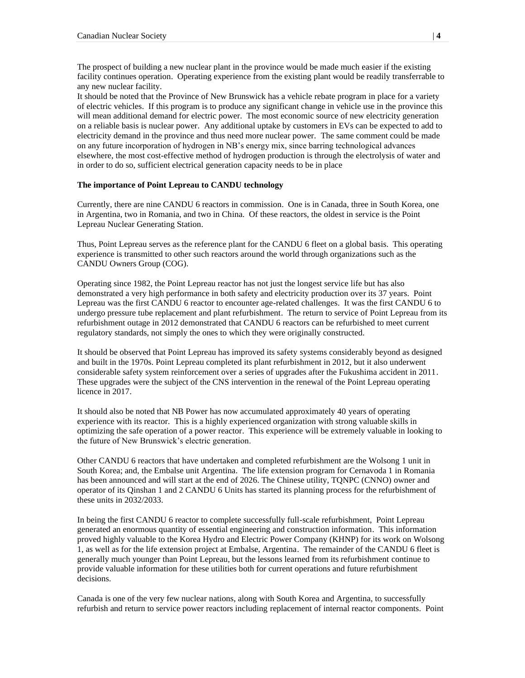The prospect of building a new nuclear plant in the province would be made much easier if the existing facility continues operation. Operating experience from the existing plant would be readily transferrable to any new nuclear facility.

It should be noted that the Province of New Brunswick has a vehicle rebate program in place for a variety of electric vehicles. If this program is to produce any significant change in vehicle use in the province this will mean additional demand for electric power. The most economic source of new electricity generation on a reliable basis is nuclear power. Any additional uptake by customers in EVs can be expected to add to electricity demand in the province and thus need more nuclear power. The same comment could be made on any future incorporation of hydrogen in NB's energy mix, since barring technological advances elsewhere, the most cost-effective method of hydrogen production is through the electrolysis of water and in order to do so, sufficient electrical generation capacity needs to be in place

#### **The importance of Point Lepreau to CANDU technology**

Currently, there are nine CANDU 6 reactors in commission. One is in Canada, three in South Korea, one in Argentina, two in Romania, and two in China. Of these reactors, the oldest in service is the Point Lepreau Nuclear Generating Station.

Thus, Point Lepreau serves as the reference plant for the CANDU 6 fleet on a global basis. This operating experience is transmitted to other such reactors around the world through organizations such as the CANDU Owners Group (COG).

Operating since 1982, the Point Lepreau reactor has not just the longest service life but has also demonstrated a very high performance in both safety and electricity production over its 37 years. Point Lepreau was the first CANDU 6 reactor to encounter age-related challenges. It was the first CANDU 6 to undergo pressure tube replacement and plant refurbishment. The return to service of Point Lepreau from its refurbishment outage in 2012 demonstrated that CANDU 6 reactors can be refurbished to meet current regulatory standards, not simply the ones to which they were originally constructed.

It should be observed that Point Lepreau has improved its safety systems considerably beyond as designed and built in the 1970s. Point Lepreau completed its plant refurbishment in 2012, but it also underwent considerable safety system reinforcement over a series of upgrades after the Fukushima accident in 2011. These upgrades were the subject of the CNS intervention in the renewal of the Point Lepreau operating licence in 2017.

It should also be noted that NB Power has now accumulated approximately 40 years of operating experience with its reactor. This is a highly experienced organization with strong valuable skills in optimizing the safe operation of a power reactor. This experience will be extremely valuable in looking to the future of New Brunswick's electric generation.

Other CANDU 6 reactors that have undertaken and completed refurbishment are the Wolsong 1 unit in South Korea; and, the Embalse unit Argentina. The life extension program for Cernavoda 1 in Romania has been announced and will start at the end of 2026. The Chinese utility, TQNPC (CNNO) owner and operator of its Qinshan 1 and 2 CANDU 6 Units has started its planning process for the refurbishment of these units in 2032/2033.

In being the first CANDU 6 reactor to complete successfully full-scale refurbishment, Point Lepreau generated an enormous quantity of essential engineering and construction information. This information proved highly valuable to the Korea Hydro and Electric Power Company (KHNP) for its work on Wolsong 1, as well as for the life extension project at Embalse, Argentina. The remainder of the CANDU 6 fleet is generally much younger than Point Lepreau, but the lessons learned from its refurbishment continue to provide valuable information for these utilities both for current operations and future refurbishment decisions.

Canada is one of the very few nuclear nations, along with South Korea and Argentina, to successfully refurbish and return to service power reactors including replacement of internal reactor components. Point